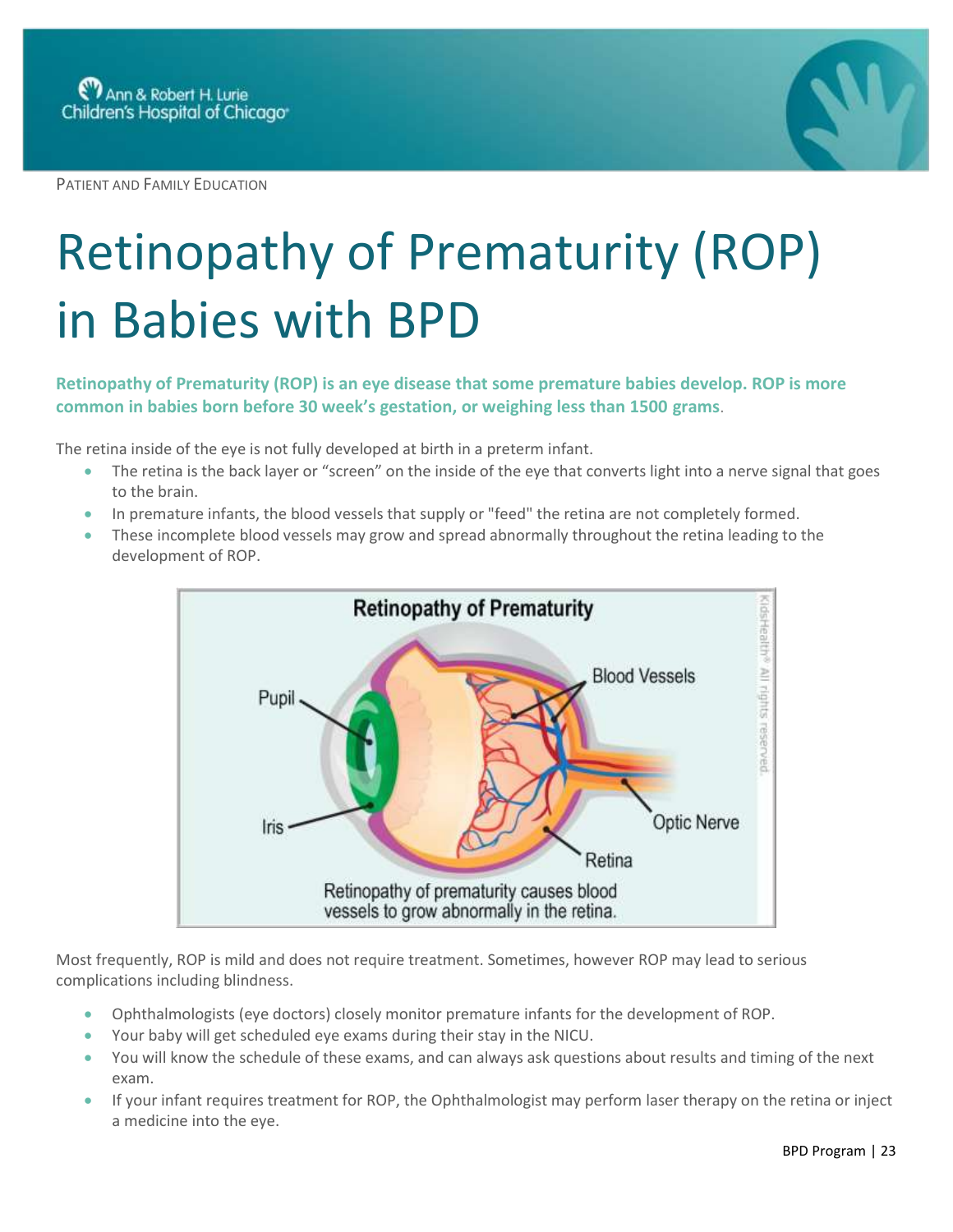PATIENT AND FAMILY EDUCATION



## Retinopathy of Prematurity (ROP) in Babies with BPD

## **Retinopathy of Prematurity (ROP) is an eye disease that some premature babies develop. ROP is more common in babies born before 30 week's gestation, or weighing less than 1500 grams**.

The retina inside of the eye is not fully developed at birth in a preterm infant.

- The retina is the back layer or "screen" on the inside of the eye that converts light into a nerve signal that goes to the brain.
- In premature infants, the blood vessels that supply or "feed" the retina are not completely formed.
- These incomplete blood vessels may grow and spread abnormally throughout the retina leading to the development of ROP.



Most frequently, ROP is mild and does not require treatment. Sometimes, however ROP may lead to serious complications including blindness.

- Ophthalmologists (eye doctors) closely monitor premature infants for the development of ROP.
- Your baby will get scheduled eye exams during their stay in the NICU.
- You will know the schedule of these exams, and can always ask questions about results and timing of the next exam.
- If your infant requires treatment for ROP, the Ophthalmologist may perform laser therapy on the retina or inject a medicine into the eye.